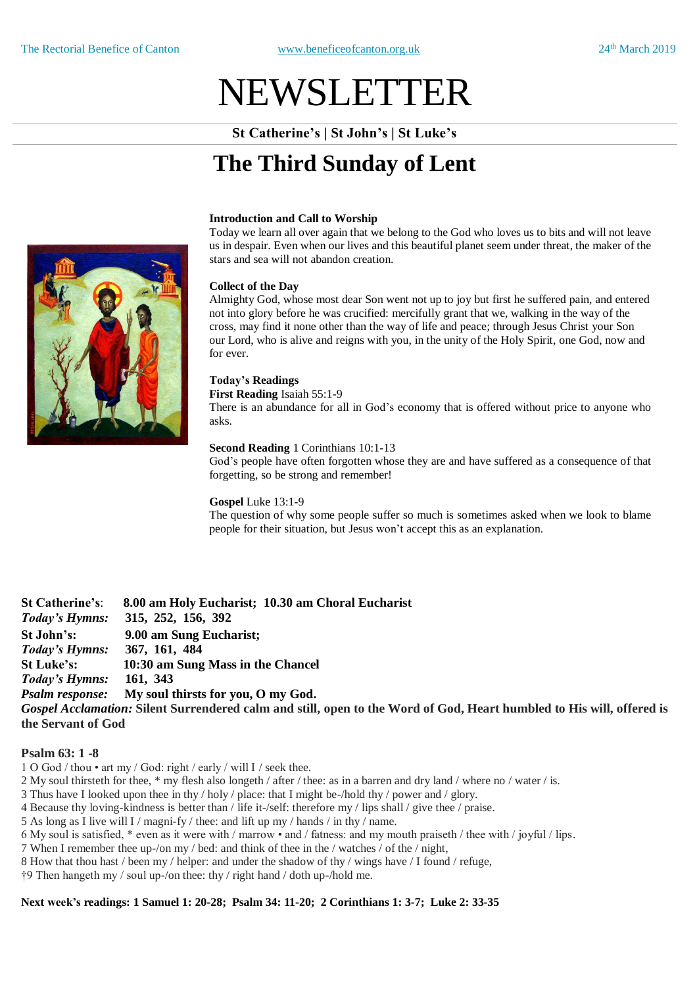# NEWSLETTER

**St Catherine's | St John's | St Luke's**

# **The Third Sunday of Lent**

## **Introduction and Call to Worship**

Today we learn all over again that we belong to the God who loves us to bits and will not leave us in despair. Even when our lives and this beautiful planet seem under threat, the maker of the stars and sea will not abandon creation.

#### **Collect of the Day**

Almighty God, whose most dear Son went not up to joy but first he suffered pain, and entered not into glory before he was crucified: mercifully grant that we, walking in the way of the cross, may find it none other than the way of life and peace; through Jesus Christ your Son our Lord, who is alive and reigns with you, in the unity of the Holy Spirit, one God, now and for ever.

## **Today's Readings**

**First Reading** Isaiah 55:1-9

There is an abundance for all in God's economy that is offered without price to anyone who asks.

#### **Second Reading** 1 Corinthians 10:1-13

God's people have often forgotten whose they are and have suffered as a consequence of that forgetting, so be strong and remember!

#### **Gospel** Luke 13:1-9

The question of why some people suffer so much is sometimes asked when we look to blame people for their situation, but Jesus won't accept this as an explanation.

**St Catherine's**: **8.00 am Holy Eucharist; 10.30 am Choral Eucharist**  *Today's Hymns:* **315, 252, 156, 392 St John's: 9.00 am Sung Eucharist;** *Today's Hymns:* **367, 161, 484 St Luke's: 10:30 am Sung Mass in the Chancel** *Today's Hymns:* **161, 343** *Psalm response:* **My soul thirsts for you, O my God.** *Gospel Acclamation:* **Silent Surrendered calm and still, open to the Word of God, Heart humbled to His will, offered is the Servant of God**

# **Psalm 63: 1 -8**

- 1 O God / thou art my / God: right / early / will I / seek thee.
- 2 My soul thirsteth for thee, \* my flesh also longeth / after / thee: as in a barren and dry land / where no / water / is.
- 3 Thus have I looked upon thee in thy / holy / place: that I might be-/hold thy / power and / glory.
- 4 Because thy loving-kindness is better than / life it-/self: therefore my / lips shall / give thee / praise.
- 5 As long as I live will I / magni-fy / thee: and lift up my / hands / in thy / name.
- 6 My soul is satisfied, \* even as it were with / marrow and / fatness: and my mouth praiseth / thee with / joyful / lips.
- 7 When I remember thee up-/on my / bed: and think of thee in the / watches / of the / night,
- 8 How that thou hast / been my / helper: and under the shadow of thy / wings have / I found / refuge,
- †9 Then hangeth my / soul up-/on thee: thy / right hand / doth up-/hold me.

# **Next week's readings: 1 Samuel 1: 20-28; Psalm 34: 11-20; 2 Corinthians 1: 3-7; Luke 2: 33-35**